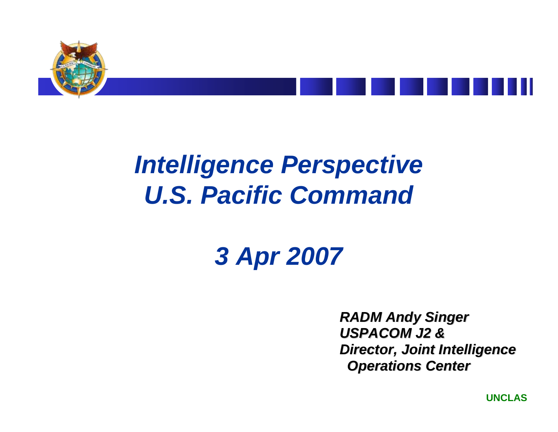



## *Intelligence Perspective U.S. Pacific Command*

## *3 Apr 2007*

*RADM Andy Singer RADM Andy Singer USPACOM J2 & USPACOM J2 &Director, Joint Intelligence Director, Joint Intelligence Operations Center Operations Center*

**UNCLAS**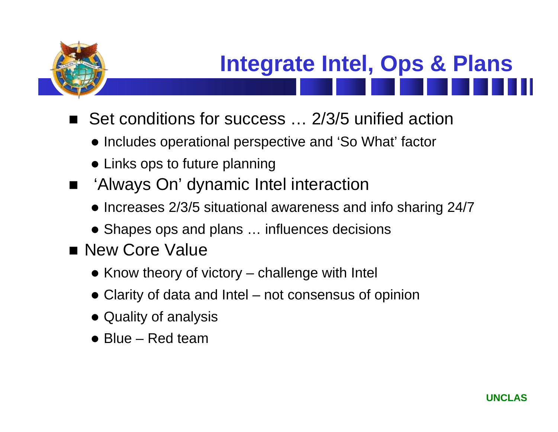

# **Integrate Intel, Ops & Plans**

- Set conditions for success … 2/3/5 unified action
	- Includes operational perspective and 'So What' factor
	- $\bullet$  Links ops to future planning
- 'Always On' dynamic Intel interaction
	- $\bullet$  Increases 2/3/5 situational awareness and info sharing 24/7
	- Shapes ops and plans ... influences decisions
- **New Core Value** 
	- $\bullet$  Know theory of victory challenge with Intel
	- Clarity of data and Intel not consensus of opinion
	- Quality of analysis
	- $\bullet$  Blue Red team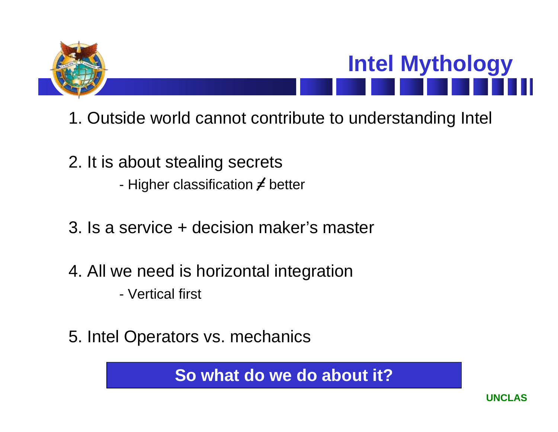

# **Intel Mythology**

- 1. Outside world cannot contribute to understanding Intel
- 2. It is about stealing secrets Higher classification  $\neq$  better
- 3. Is a service + decision maker's master
- 4. All we need is horizontal integration
	- Vertical first
- 5. Intel Operators vs. mechanics

**So what do we do about it?**